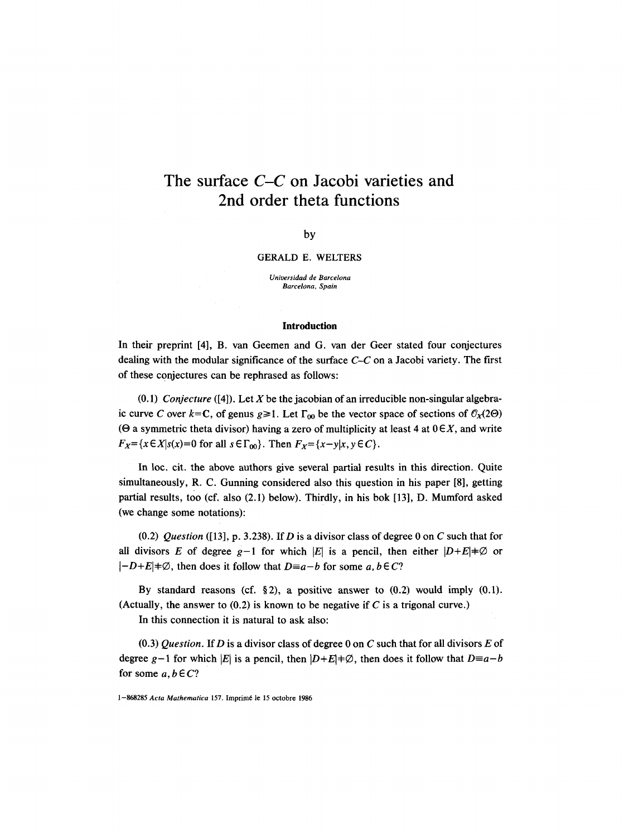# **The surface** *C-C* **on Jacobi varieties and 2nd order theta functions**

#### by

### GERALD E. WELTERS

*Uni~rsidad de Barcelona Barcelona, Spain* 

#### Introduction

In their preprint [4], B. van Geemen and G. van der Geer stated four conjectures dealing with the modular significance of the surface *C-C* on a Jacobi variety. The first of these conjectures can be rephrased as follows:

 $(0.1)$  *Conjecture* ([4]). Let X be the jacobian of an irreducible non-singular algebraic curve C over  $k=C$ , of genus  $g\geq 1$ . Let  $\Gamma_{00}$  be the vector space of sections of  $\mathcal{O}_X(2\Theta)$ ( $\Theta$  a symmetric theta divisor) having a zero of multiplicity at least 4 at  $0 \in X$ , and write  $F_X = \{x \in X | s(x) = 0 \text{ for all } s \in \Gamma_{00} \}.$  Then  $F_X = \{x - y | x, y \in C \}.$ 

In loc. cit. the above authors give several partial results in this direction. Quite simultaneously, R. C. Gunning considered also this question in his paper [8], getting partial results, too (cf. also (2.1) below). Thirdly, in his bok [13], D. Mumford asked (we change some notations):

 $(0.2)$  *Question* ([13], p. 3.238). If *D* is a divisor class of degree 0 on *C* such that for all divisors E of degree  $g-1$  for which |E| is a pencil, then either  $|D+E| \neq \emptyset$  or  $|-D+E|+\emptyset$ , then does it follow that  $D\equiv a-b$  for some a,  $b \in C$ ?

By standard reasons (cf. §2), a positive answer to  $(0.2)$  would imply  $(0.1)$ . (Actually, the answer to  $(0.2)$  is known to be negative if C is a trigonal curve.)

In this connection it is natural to ask also:

 $(0.3)$  *Question.* If D is a divisor class of degree 0 on C such that for all divisors E of degree g-1 for which |E| is a pencil, then  $|D+E| \neq \emptyset$ , then does it follow that  $D \equiv a-b$ for some  $a, b \in C?$ 

<sup>1-868285</sup> *Acta Mathematica* 157. Imprimd le 15 octobre 1986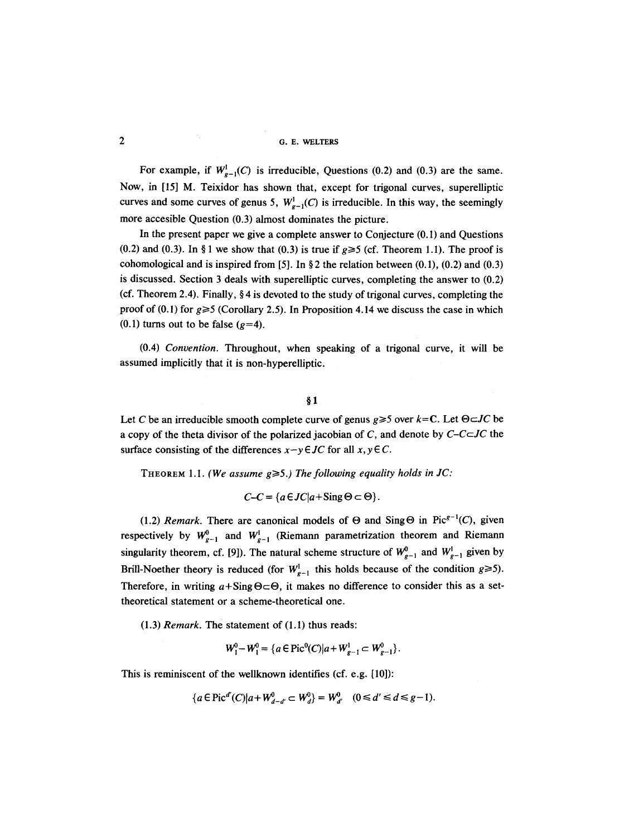For example, if  $W_{g-1}^1(C)$  is irreducible, Questions (0.2) and (0.3) are the same. Now, in [15] M. Teixidor has shown that, except for trigonal curves, superelliptic curves and some curves of genus 5,  $W_{g-1}^1(C)$  is irreducible. In this way, the seemingly more accesible Question (0.3) almost dominates the picture.

In the present paper we give a complete answer to Conjecture (0.1) and Questions  $(0.2)$  and  $(0.3)$ . In § 1 we show that  $(0.3)$  is true if  $g \ge 5$  (cf. Theorem 1.1). The proof is cohomological and is inspired from [5]. In § 2 the relation between  $(0.1)$ ,  $(0.2)$  and  $(0.3)$ is discussed. Section 3 deals with superelliptic curves, completing the answer to (0.2) (cf. Theorem 2.4). Finally,  $\S 4$  is devoted to the study of trigonal curves, completing the proof of  $(0.1)$  for  $g \ge 5$  (Corollary 2.5). In Proposition 4.14 we discuss the case in which (0.1) turns out to be false ( $g=4$ ).

(0.4) *Convention.* Throughout, when speaking of a trigonal curve, it will be assumed implicitly that it is non-hyperelliptic.

### $§<sub>1</sub>$

Let C be an irreducible smooth complete curve of genus  $g \ge 5$  over  $k=C$ . Let  $\Theta \subset JC$  be a copy of the theta divisor of the polarized jacobian of C, and denote by  $C$ - $C \subset JC$  the surface consisting of the differences  $x-y \in JC$  for all  $x, y \in C$ .

THEOREM 1.1. *(We assume*  $g \ge 5$ *.) The following equality holds in JC:* 

 $C-C = {a \in JC|a+}\text{Sing}\,\Theta \subset \Theta$ .

(1.2) *Remark*. There are canonical models of  $\Theta$  and Sing  $\Theta$  in Pic<sup> $g-1$ </sup>(C), given respectively by  $W_{g-1}^0$  and  $W_{g-1}^1$  (Riemann parametrization theorem and Riemann singularity theorem, cf. [9]). The natural scheme structure of  $W_{g-1}^0$  and  $W_{g-1}^1$  given by Brill-Noether theory is reduced (for  $W_{g-1}^1$  this holds because of the condition  $g \ge 5$ ). Therefore, in writing  $a+Sing \Theta \subset \Theta$ , it makes no difference to consider this as a settheoretical statement or a scheme-theoretical one.

(1.3) *Remark.* The statement of (1.1) thus reads:

$$
W_1^0-W_1^0=\{a\in \text{Pic}^0(C)|a+W_{g-1}^1\subset W_{g-1}^0\}.
$$

This is reminiscent of the wellknown identifies (cf. e.g. [10]):

$$
\{a \in \text{Pic}^{d'}(C) | a + W^0_{d-d'} \subset W^0_{d'}\} = W^0_{d'} \quad (0 \le d' \le d \le g-1).
$$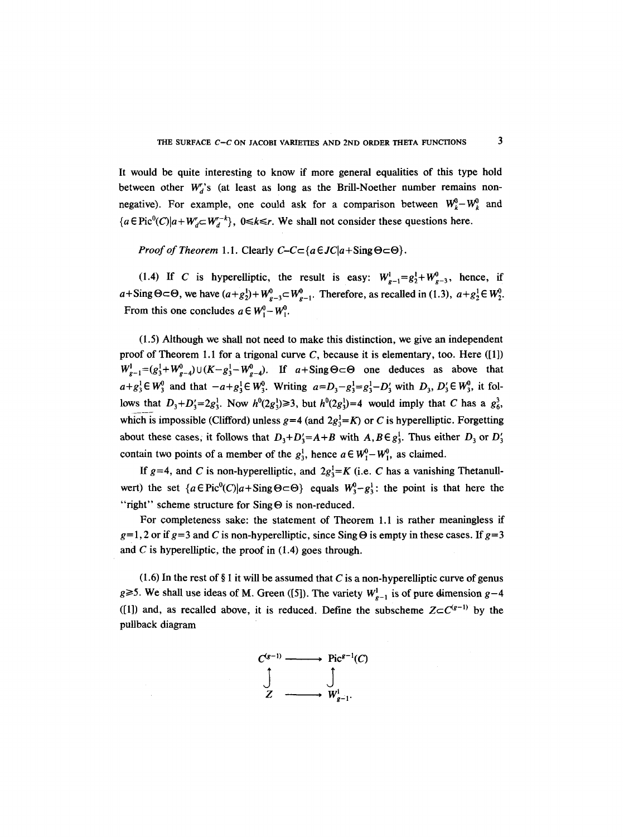It would be quite interesting to know if more general equalities of this type hold between other  $W_d$ 's (at least as long as the Brill-Noether number remains nonnegative). For example, one could ask for a comparison between  $W_k^0-W_k^0$  and  ${a \in \text{Pic}^0(C)|a+W'_d-W'_d}$ ,  $0 \le k \le r$ . We shall not consider these questions here.

*Proof of Theorem 1.1.* Clearly  $C - C \subset \{a \in JC | a + \text{Sing } \Theta \subset \Theta\}.$ 

(1.4) If C is hyperelliptic, the result is easy:  $W_{g-1}^1 = g_2^1 + W_{g-3}^0$ , hence, if  $a+Sing\Theta\subset\Theta$ , we have  $(a+g_2^1)+W^0_{g-3}\subset W^0_{g-1}$ . Therefore, as recalled in (1.3),  $a+g_2^1\in W^0_2$ . From this one concludes  $a \in W_1^0-W_1^0$ .

(1.5) Although we shall not need to make this distinction, we give an independent proof of Theorem 1.1 for a trigonal curve  $C$ , because it is elementary, too. Here ([1])  $W_{g-1}^1 = (g_3^1 + W_{g-4}^0) \cup (K - g_3^1 - W_{g-4}^0)$ . If  $a + \text{Sing} \Theta \subset \Theta$  one deduces as above that  $a+g_3^1 \in W_3^0$  and that  $-a+g_3^1 \in W_3^0$ . Writing  $a=D_3-g_3^1=g_3^1-D_3'$  with  $D_3, D_3' \in W_3^0$ , it follows that  $D_3 + D_3' = 2g_3^1$ . Now  $h^0(2g_3^1) \ge 3$ , but  $h^0(2g_3^1) = 4$  would imply that C has a  $g_6^3$ , which is impossible (Clifford) unless  $g=4$  (and  $2g<sub>3</sub><sup>1</sup>=K$ ) or C is hyperelliptic. Forgetting about these cases, it follows that  $D_3+D'_3=A+B$  with  $A, B \in g_3^1$ . Thus either  $D_3$  or  $D'_3$ contain two points of a member of the  $g_3^1$ , hence  $a \in W_1^0 - W_1^0$ , as claimed.

If  $g=4$ , and C is non-hyperelliptic, and  $2g_3^1=K$  (i.e. C has a vanishing Thetanullwert) the set  ${a \in \text{Pic}^0(C)|a+\text{Sing} \Theta \subset \Theta}$  equals  $W_3^0 - g_3^1$ : the point is that here the "right" scheme structure for  $Sing \Theta$  is non-reduced.

For completeness sake: the statement of Theorem 1.1 is rather meaningless if  $g=1,2$  or if  $g=3$  and C is non-hyperelliptic, since Sing  $\Theta$  is empty in these cases. If  $g=3$ and C is hyperelliptic, the proof in  $(1.4)$  goes through.

(1.6) In the rest of § 1 it will be assumed that C is a non-hyperelliptic curve of genus g $\geq$ 5. We shall use ideas of M. Green ([5]). The variety  $W_{p-1}^1$  is of pure dimension g-4 ([1]) and, as recalled above, it is reduced. Define the subscheme  $Z \subset C^{(g-1)}$  by the pullback diagram

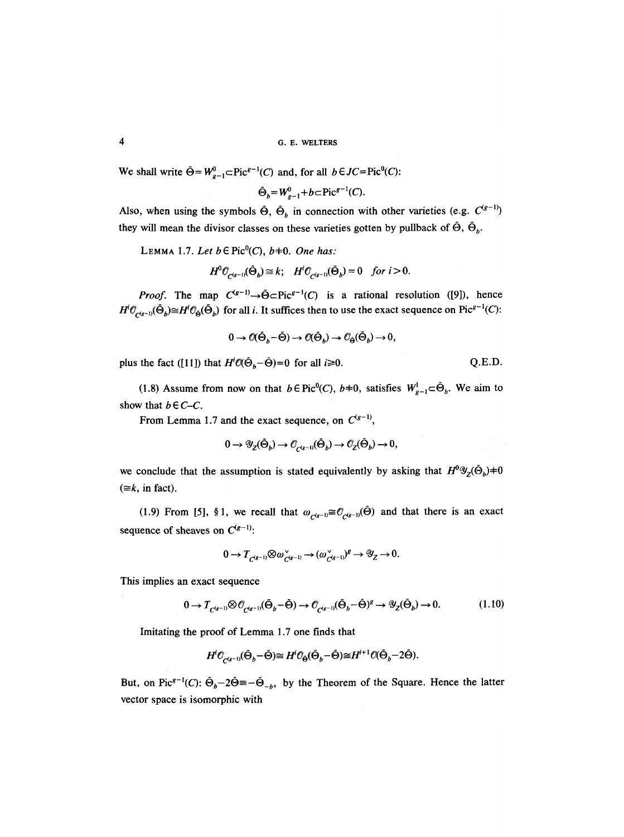We shall write  $\tilde{\Theta} = W_{g-1}^0 \subset \text{Pic}^{g-1}(C)$  and, for all  $b \in JC = \text{Pic}^0(C)$ :

 $\tilde{\Theta}_b = W_{g-1}^0 + b \subset Pic^{g-1}(C)$ .

Also, when using the symbols  $\tilde{\Theta}$ ,  $\tilde{\Theta}_b$  in connection with other varieties (e.g.  $C^{(g-1)}$ ) they will mean the divisor classes on these varieties gotten by pullback of  $\hat{\Theta}$ ,  $\hat{\Theta}_b$ .

LEMMA 1.7. Let  $b \in Pic^0(C)$ ,  $b \neq 0$ . One has:

$$
H^{0}\mathcal{O}_{\mathcal{C}^{(g-1)}}(\tilde{\Theta}_{b}) \cong k; \quad H^{j}\mathcal{O}_{\mathcal{C}^{(g-1)}}(\tilde{\Theta}_{b}) = 0 \quad \text{for } i > 0.
$$

*Proof.* The map  $C^{(g-1)} \rightarrow \tilde{\Theta} \subset Pic^{g-1}(C)$  is a rational resolution ([9]), hence  $H^i\mathcal{O}_{C^{(g-1)}}(\tilde{\Theta}_b) \cong H^i\mathcal{O}_{\tilde{\Theta}}(\tilde{\Theta}_b)$  for all i. It suffices then to use the exact sequence on Pic<sup>g-1</sup>(C):

$$
0 \to \mathcal{O}(\tilde{\Theta}_b - \tilde{\Theta}) \to \mathcal{O}(\tilde{\Theta}_b) \to \mathcal{O}_{\tilde{\Theta}}(\tilde{\Theta}_b) \to 0,
$$

plus the fact ([11]) that  $H^iO(\tilde{\Theta}_b-\tilde{\Theta})=0$  for all  $i\geq 0$ . Q.E.D.

(1.8) Assume from now on that  $b \in Pic^0(C)$ ,  $b+0$ , satisfies  $W_{g-1}^1 \subset \tilde{\Theta}_b$ . We aim to show that  $b \in C-C$ .

From Lemma 1.7 and the exact sequence, on  $C^{(g-1)}$ ,

$$
0 \to \mathscr{Y}_{Z}(\tilde{\Theta}_{b}) \to \mathscr{O}_{C^{(g-1)}}(\tilde{\Theta}_{b}) \to \mathscr{O}_{Z}(\tilde{\Theta}_{b}) \to 0,
$$

we conclude that the assumption is stated equivalently by asking that  $H^0 \mathscr{Y}_Z(\tilde{\Theta}_b) \neq 0$  $(\equiv k, \text{ in fact}).$ 

(1.9) From [5], §1, we recall that  $\omega_{C^{(g-1)}} \cong \mathcal{O}_{C^{(g-1)}}(\tilde{\Theta})$  and that there is an exact sequence of sheaves on  $C^{(g-1)}$ :

$$
0 \to T_{C^{(g-1)}} \otimes \omega_{C^{(g-1)}}^{\vee} \to (\omega_{C^{(g-1)}}^{\vee})^g \to \mathscr{Y}_Z \to 0.
$$

This implies an exact sequence

$$
0 \to T_{C^{(g-1)}} \otimes \mathcal{O}_{C^{(g-1)}}(\tilde{\Theta}_b - \tilde{\Theta}) \to \mathcal{O}_{C^{(g-1)}}(\tilde{\Theta}_b - \tilde{\Theta})^g \to \mathcal{Y}_Z(\tilde{\Theta}_b) \to 0. \tag{1.10}
$$

Imitating the proof of Lemma 1.7 one finds that

$$
H^i \mathcal{O}_{\mathcal{O}^{(g-1)}}(\tilde{\Theta}_b - \tilde{\Theta}) \cong H^i \mathcal{O}_{\tilde{\Theta}}(\tilde{\Theta}_b - \tilde{\Theta}) \cong H^{i+1} \mathcal{O}(\tilde{\Theta}_b - 2\tilde{\Theta}).
$$

But, on Pic<sup> $g^{-1}(C)$ :  $\Theta_b-2\Theta = -\Theta_{-b}$ , by the Theorem of the Square. Hence the latter</sup> vector space is isomorphic with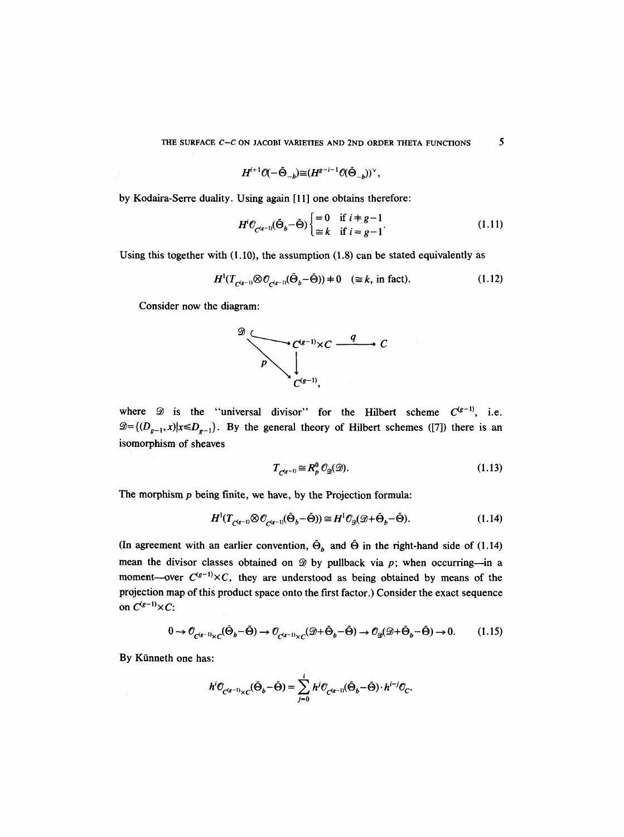$$
H^{i+1}\mathcal{O}(-\tilde{\Theta}_{-b})\widetilde{=}(H^{g-i-1}\mathcal{O}(\tilde{\Theta}_{-b}))^{\vee},
$$

by Kodaira-Serre duality. Using again [11] one obtains therefore:

$$
H^i \mathcal{O}_{C^{(g-1)}}(\tilde{\Theta}_b - \tilde{\Theta}) \begin{cases} = 0 & \text{if } i = g-1 \\ \cong k & \text{if } i = g-1 \end{cases}
$$
 (1.11)

Using this together with  $(1.10)$ , the assumption  $(1.8)$  can be stated equivalently as

$$
H^1(T_{C^{(g-1)}} \otimes \mathcal{O}_{C^{(g-1)}} (\tilde{\Theta}_b - \tilde{\Theta})) \neq 0 \quad (\cong k, \text{ in fact}). \tag{1.12}
$$

Consider now the diagram:



where  $\mathscr D$  is the "universal divisor" for the Hilbert scheme  $C^{(g-1)}$ , i.e.  $\mathcal{D}=\{(D_{g-1},x)|x\le D_{g-1}\}$ . By the general theory of Hilbert schemes ([7]) there is an isomorphism of sheaves

$$
T_{C^{(g-1)}} \cong R_p^0 \mathcal{O}_{\mathcal{D}}(\mathcal{D}). \tag{1.13}
$$

The morphism  $p$  being finite, we have, by the Projection formula:

$$
H^1(T_{C^{(g-1)}} \otimes \mathcal{O}_{C^{(g-1)}} (\tilde{\Theta}_b - \tilde{\Theta})) \cong H^1 \mathcal{O}_{\mathcal{D}} (\mathcal{D} + \tilde{\Theta}_b - \tilde{\Theta}).
$$
\n(1.14)

(In agreement with an earlier convention,  $\tilde{\Theta}_b$  and  $\tilde{\Theta}$  in the right-hand side of (1.14) mean the divisor classes obtained on  $\mathscr{D}$  by pullback via p; when occurring--in a moment--over  $C^{(g-1)} \times C$ , they are understood as being obtained by means of the projection map of this product space onto the first factor.) Consider the exact sequence on  $C^{(g-1)}\times C$ :

$$
0 \to \mathcal{O}_{C^{(g-1)} \times C}(\tilde{\Theta}_b - \tilde{\Theta}) \to \mathcal{O}_{C^{(g-1)} \times C}(\mathcal{D} + \tilde{\Theta}_b - \tilde{\Theta}) \to \mathcal{O}_{\mathcal{D}}(\mathcal{D} + \tilde{\Theta}_b - \tilde{\Theta}) \to 0. \tag{1.15}
$$

By Künneth one has:

$$
h^i \mathcal{O}_{C^{(g-1)} \times C}(\tilde{\Theta}_b - \tilde{\Theta}) = \sum_{j=0}^i h^j \mathcal{O}_{C^{(g-1)}}(\tilde{\Theta}_b - \tilde{\Theta}) \cdot h^{i-j} \mathcal{O}_C.
$$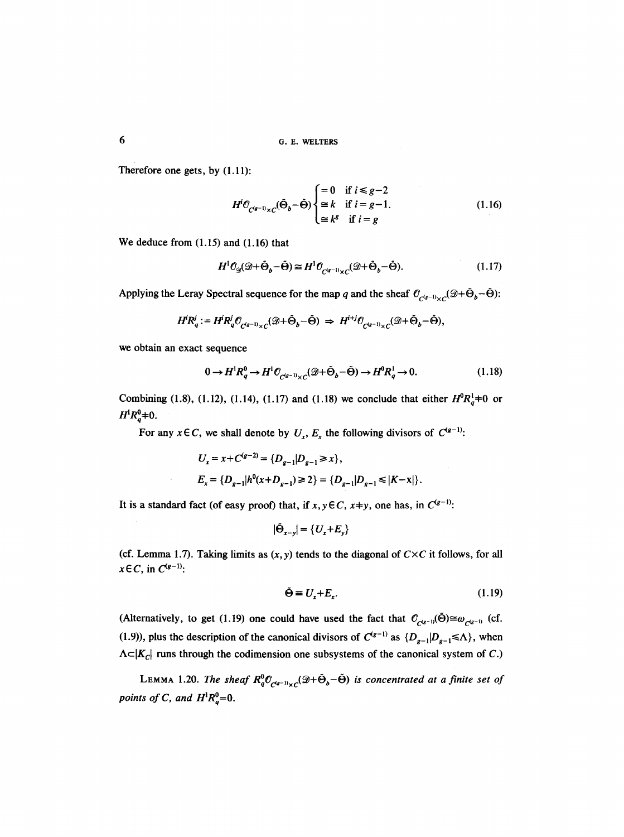6 G.E. WELTERS

Therefore one gets, by (1.11):

$$
H^{i} \mathcal{O}_{C^{(g-1)} \times C}(\tilde{\Theta}_{b} - \tilde{\Theta}) \begin{cases} = 0 & \text{if } i \le g-2\\ \cong k & \text{if } i = g-1.\\ \cong k^{g} & \text{if } i = g \end{cases}
$$
(1.16)

We deduce from (1.15) and (1.16) that

$$
H^{1}\mathcal{O}_{\mathcal{D}}(\mathcal{D}+\tilde{\Theta}_{b}-\tilde{\Theta}) \cong H^{1}\mathcal{O}_{\mathcal{C}^{(g-1)}\times\mathcal{C}}(\mathcal{D}+\tilde{\Theta}_{b}-\tilde{\Theta}).\tag{1.17}
$$

Applying the Leray Spectral sequence for the map q and the sheaf  $\mathcal{O}_{C^{(g-1)} \times C}(\mathcal{D} + \tilde{\Theta}_b - \tilde{\Theta})$ :

$$
H^i R_q^j := H^i R_q^j \mathcal{O}_{C^{(g-1)} \times C}(\mathscr{D} + \tilde{\Theta}_b - \tilde{\Theta}) \implies H^{i+j} \mathcal{O}_{C^{(g-1)} \times C}(\mathscr{D} + \tilde{\Theta}_b - \tilde{\Theta}),
$$

we obtain an exact sequence

$$
0 \to H^1 R_q^0 \to H^1 \mathcal{O}_{C^{(q-1)} \times C}(\mathcal{D} + \tilde{\Theta}_b - \tilde{\Theta}) \to H^0 R_q^1 \to 0. \tag{1.18}
$$

Combining (1.8), (1.12), (1.14), (1.17) and (1.18) we conclude that either  $H^0 R_q^1 \neq 0$  or  $H^1R^0_a$   $\neq$  0.

For any  $x \in C$ , we shall denote by  $U_x$ ,  $E_x$  the following divisors of  $C^{(g-1)}$ :

$$
U_x = x + C^{(g-2)} = \{D_{g-1}|D_{g-1} \ge x\},
$$
  

$$
E_x = \{D_{g-1}|h^0(x + D_{g-1}) \ge 2\} = \{D_{g-1}|D_{g-1} \le |K - x|\}.
$$

It is a standard fact (of easy proof) that, if  $x, y \in C$ ,  $x+y$ , one has, in  $C^{(g-1)}$ :

$$
|\tilde{\Theta}_{x-y}| = \{U_x + E_y\}
$$

(cf. Lemma 1.7). Taking limits as  $(x, y)$  tends to the diagonal of  $C \times C$  it follows, for all  $x \in C$ , in  $C^{(g-1)}$ :

$$
\tilde{\Theta} \equiv U_x + E_x. \tag{1.19}
$$

(Alternatively, to get (1.19) one could have used the fact that  $O_{c^{(g-1)}}(\tilde{\Theta}) \cong \omega_{c^{(g-1)}}$  (cf. (1.9)), plus the description of the canonical divisors of  $C^{(g-1)}$  as  $\{D_{g-1}|D_{g-1}\leq \Lambda\}$ , when  $\Lambda \subset |K_C|$  runs through the codimension one subsystems of the canonical system of C.)

LEMMA 1.20. *The sheaf*  $R_q^0 \mathcal{O}_{C^{(q-1)} \times C}(\mathcal{D} + \tilde{\Theta}_b - \tilde{\Theta})$  is concentrated at a finite set of *points of C, and*  $H^1R_q^0=0$ *.*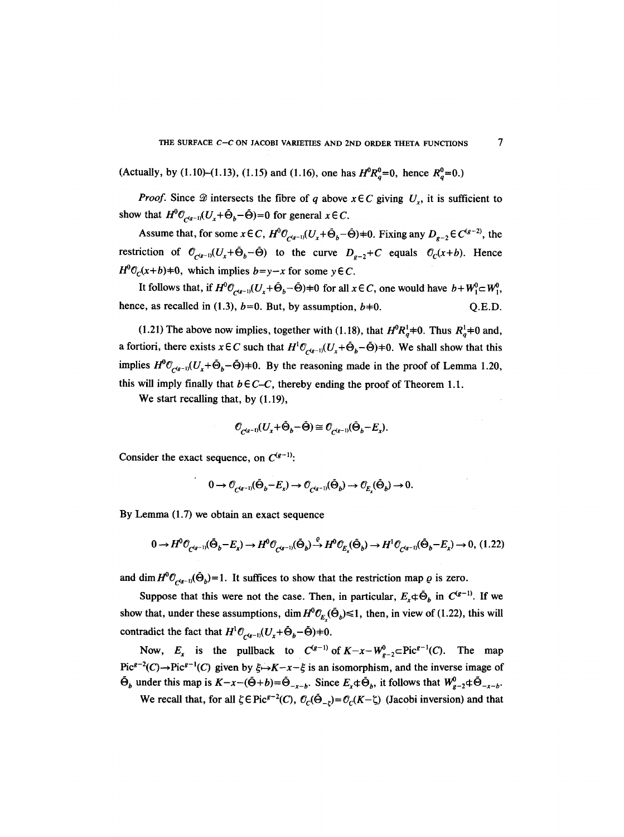(Actually, by (1.10)–(1.13), (1.15) and (1.16), one has  $H^0R^0 = 0$ , hence  $R^0 = 0$ .)

*Proof.* Since  $\mathcal{D}$  intersects the fibre of q above  $x \in C$  giving  $U_x$ , it is sufficient to show that  $H^0\mathcal{O}_{\mathcal{O}_{\mathcal{A}g^{-1}}}(U_x+\tilde{\Theta}_h-\tilde{\Theta})=0$  for general  $x \in \mathcal{C}$ .

Assume that, for some  $x \in C$ ,  $H^0 \mathcal{O}_{C^{(g-1)}}(U_x + \tilde{\Theta}_b - \tilde{\Theta}) = 0$ . Fixing any  $D_{g-2} \in C^{(g-2)}$ , the restriction of  $\mathcal{O}_{C^{(g-1)}}(U_x+\tilde{\Theta}_b-\tilde{\Theta})$  to the curve  $D_{g-2}+C$  equals  $\mathcal{O}_C(x+b)$ . Hence  $H^0C_c(x+b)=0$ , which implies  $b=y-x$  for some  $y \in C$ .

It follows that, if  $H^0\mathcal{O}_{C^{(g-1)}}(U_x+\tilde{\Theta}_b-\tilde{\Theta})=0$  for all  $x \in \mathcal{C}$ , one would have  $b+W_1^0 \subset W_1^0$ , hence, as recalled in (1.3),  $b=0$ . But, by assumption,  $b=0$ .  $\qquad \qquad$  O.E.D.

(1.21) The above now implies, together with (1.18), that  $H^0 R^1_A$   $\neq$  0. Thus  $R^1_A$   $\neq$  0 and, a fortiori, there exists  $x \in C$  such that  $H^1\mathcal{O}_{C^{(g-1)}}(U_x + \tilde{\Theta}_b - \tilde{\Theta}) \neq 0$ . We shall show that this implies  $H^0\mathcal{O}_{C^{(g-1)}}(U_x+\tilde{\Theta}_b-\tilde{\Theta})=0$ . By the reasoning made in the proof of Lemma 1.20, this will imply finally that  $b \in C-C$ , thereby ending the proof of Theorem 1.1.

We start recalling that, by  $(1.19)$ ,

$$
\mathcal{O}_{C^{(g-1)}}(U_x+\tilde{\Theta}_b-\tilde{\Theta})\cong \mathcal{O}_{C^{(g-1)}}(\tilde{\Theta}_b-E_x).
$$

Consider the exact sequence, on  $C^{(g-1)}$ :

$$
0 \to \mathcal{O}_{C^{(g-1)}}(\tilde{\Theta}_b - E_x) \to \mathcal{O}_{C^{(g-1)}}(\tilde{\Theta}_b) \to \mathcal{O}_{E_x}(\tilde{\Theta}_b) \to 0.
$$

By Lemma (1.7) we obtain an exact sequence

$$
0 \to H^0\mathcal{O}_{C^{(g-1)}}(\tilde{\Theta}_b - E_x) \to H^0\mathcal{O}_{C^{(g-1)}}(\tilde{\Theta}_b) \stackrel{\varrho}{\to} H^0\mathcal{O}_{E_x}(\tilde{\Theta}_b) \to H^1\mathcal{O}_{C^{(g-1)}}(\tilde{\Theta}_b - E_x) \to 0, (1.22)
$$

and dim  $H^0\mathcal{O}_{\mathcal{C}(s-1)}(\tilde{\Theta}_b)=1$ . It suffices to show that the restriction map  $\varrho$  is zero.

Suppose that this were not the case. Then, in particular,  $E_x \oplus \tilde{\Theta}_b$  in  $C^{(g-1)}$ . If we show that, under these assumptions, dim  $H^0\mathcal{O}_E(\tilde{\Theta}_b) \le 1$ , then, in view of (1.22), this will contradict the fact that  $H^1 \mathcal{O}_{c(s-1)}(U_x+\bar{\Theta}_b-\tilde{\Theta})=0.$ 

Now,  $E_x$  is the pullback to  $C^{(g-1)}$  of  $K-x-W^0_{g-2}CPic^{g-1}(C)$ . The map  $Pic^{g-2}(C) \to Pic^{g-1}(C)$  given by  $\xi \to K-x-\xi$  is an isomorphism, and the inverse image of  $\tilde{\Theta}_b$  under this map is  $K-x-(\tilde{\Theta}+b)=\tilde{\Theta}_{-x-b}$ . Since  $E_x\oplus \tilde{\Theta}_b$ , it follows that  $W_{\rho-2}^0\oplus \tilde{\Theta}_{-x-b}$ .

We recall that, for all  $\zeta \in Pic^{g-2}(C)$ ,  $\mathcal{O}_C(\tilde{\Theta}_{-z}) = \mathcal{O}_C(K - \zeta)$  (Jacobi inversion) and that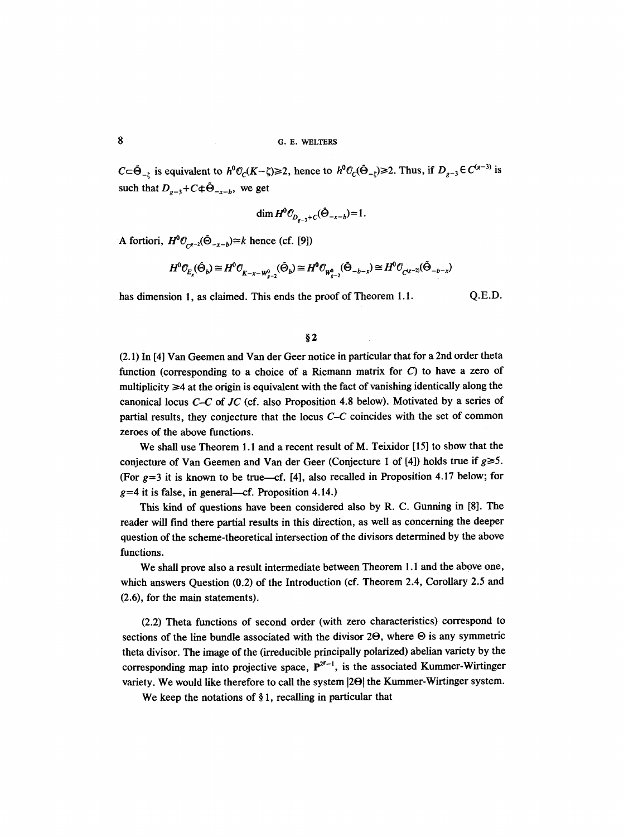$C \subset \tilde{\Theta}_{-\zeta}$  is equivalent to  $h^0 \mathcal{O}_C(K-\zeta) \geq 2$ , hence to  $h^0 \mathcal{O}_C(\tilde{\Theta}_{-\zeta}) \geq 2$ . Thus, if  $D_{g-3} \in C^{(g-3)}$  is such that  $D_{g-3}+C\oplus \tilde{\Theta}_{-x-b}$ , we get

$$
\dim H^0 O_{D_{n-1}+C}(\tilde{\Theta}_{-x-b}) = 1.
$$

A fortiori,  $H^0\mathcal{O}_{Cg-2}(\tilde{\Theta}_{-x-b})\cong k$  hence (cf. [9])

$$
H^{0} \mathcal{O}_{E_{x}}(\tilde{\Theta}_{b}) \cong H^{0} \mathcal{O}_{K-x-W_{g-2}^{0}}(\tilde{\Theta}_{b}) \cong H^{0} \mathcal{O}_{W_{g-2}^{0}}(\tilde{\Theta}_{-b-x}) \cong H^{0} \mathcal{O}_{C^{(g-2)}}(\tilde{\Theta}_{-b-x})
$$

has dimension 1, as claimed. This ends the proof of Theorem 1.1. Q.E.D.

**w** 

(2.1) In [4] Van Geemen and Van der Geer notice in particular that for a 2nd order theta function (corresponding to a choice of a Riemann matrix for  $C$ ) to have a zero of multiplicity  $\geq 4$  at the origin is equivalent with the fact of vanishing identically along the canonical locus *C-C* of *JC* (cf. also Proposition 4.8 below). Motivated by a series of partial results, they conjecture that the locus C-C coincides with the set of common zeroes of the above functions.

We shall use Theorem 1.1 and a recent result of M. Teixidor [15] to show that the conjecture of Van Geemen and Van der Geer (Conjecture 1 of [4]) holds true if  $g \ge 5$ . (For  $g=3$  it is known to be true—cf. [4], also recalled in Proposition 4.17 below; for  $g=4$  it is false, in general—cf. Proposition 4.14.)

This kind of questions have been considered also by R. C. Gunning in [8]. The reader will find there partial results in this direction, as well as concerning the deeper question of the scheme-theoretical intersection of the divisors determined by the above functions.

We shall prove also a result intermediate between Theorem 1.1 and the above one, which answers Question (0.2) of the Introduction (cf. Theorem 2.4, Corollary 2.5 and (2.6), for the main statements).

(2.2) Theta functions of second order (with zero characteristics) correspond to sections of the line bundle associated with the divisor  $2\Theta$ , where  $\Theta$  is any symmetric theta divisor. The image of the (irreducible principally polarized) abelian variety by the corresponding map into projective space,  $P^{2^{g}-1}$ , is the associated Kummer-Wirtinger variety. We would like therefore to call the system  $|2\Theta|$  the Kummer-Wirtinger system.

We keep the notations of  $\S 1$ , recalling in particular that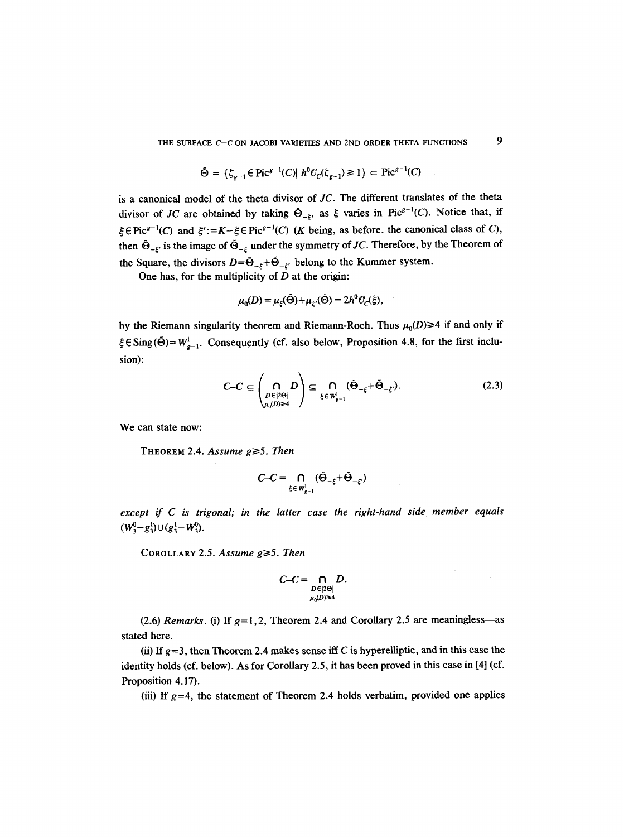THE SURFACE *C*-*C* ON JACOBI VARIETIES AND 2ND ORDER THETA FUNCTIONS 9

$$
\tilde{\Theta} = \{ \zeta_{g-1} \in \text{Pic}^{g-1}(C) | h^0 \mathcal{O}_C(\zeta_{g-1}) \ge 1 \} \subset \text{Pic}^{g-1}(C)
$$

is a canonical model of the theta divisor of *JC.* The different translates of the theta divisor of *JC* are obtained by taking  $\tilde{\Theta}_{-\xi}$ , as  $\xi$  varies in Pic<sup>g-1</sup>(C). Notice that, if  $\xi \in Pic^{g-1}(C)$  and  $\xi':=K-\xi \in Pic^{g-1}(C)$  (K being, as before, the canonical class of C), then  $\tilde{\Theta}_{-\xi'}$  is the image of  $\tilde{\Theta}_{-\xi}$  under the symmetry of *JC*. Therefore, by the Theorem of the Square, the divisors  $D=\tilde{\Theta}_{-\xi}+\tilde{\Theta}_{-\xi'}$  belong to the Kummer system.

One has, for the multiplicity of  $D$  at the origin:

$$
\mu_0(D) = \mu_{\xi}(\hat{\Theta}) + \mu_{\xi'}(\hat{\Theta}) = 2h^0 \mathcal{O}_C(\xi),
$$

by the Riemann singularity theorem and Riemann-Roch. Thus  $\mu_0(D) \geq 4$  if and only if  $\xi \in$ Sing( $\ddot{\Theta}$ ) =  $W_{g-1}^1$ . Consequently (cf. also below, Proposition 4.8, for the first inclusion):

$$
C-C \subseteq \left(\bigcap_{\substack{D \in |2\Theta| \\ \mu_0(D) \ge 4}} D\right) \subseteq \bigcap_{\xi \in W^1_{g-1}} (\tilde{\Theta}_{-\xi} + \tilde{\Theta}_{-\xi'}).
$$
 (2.3)

We can state now:

THEOREM 2.4. Assume  $g \ge 5$ . Then

$$
C-C = \bigcap_{\xi \in W^1_{g-1}} (\tilde{\Theta}_{-\xi} + \tilde{\Theta}_{-\xi'})
$$

*except if C is trigonal; in the latter case the right-hand side member equals*   $(W_3^0 - g_3^1) \cup (g_3^1 - W_3^0).$ 

COROLLARY 2.5. *Assume g*≥5. *Then* 

$$
C-C=\bigcap_{\substack{D\in |2\Theta|\\ \mu_0(D)\geq 4}} D.
$$

(2.6) *Remarks.* (i) If  $g=1,2$ , Theorem 2.4 and Corollary 2.5 are meaningless—as stated here.

(ii) If  $g=3$ , then Theorem 2.4 makes sense iff C is hyperelliptic, and in this case the identity holds (cf. below). As for Corollary 2.5, it has been proved in this case in [4] (cf. Proposition 4.17).

(iii) If  $g=4$ , the statement of Theorem 2.4 holds verbatim, provided one applies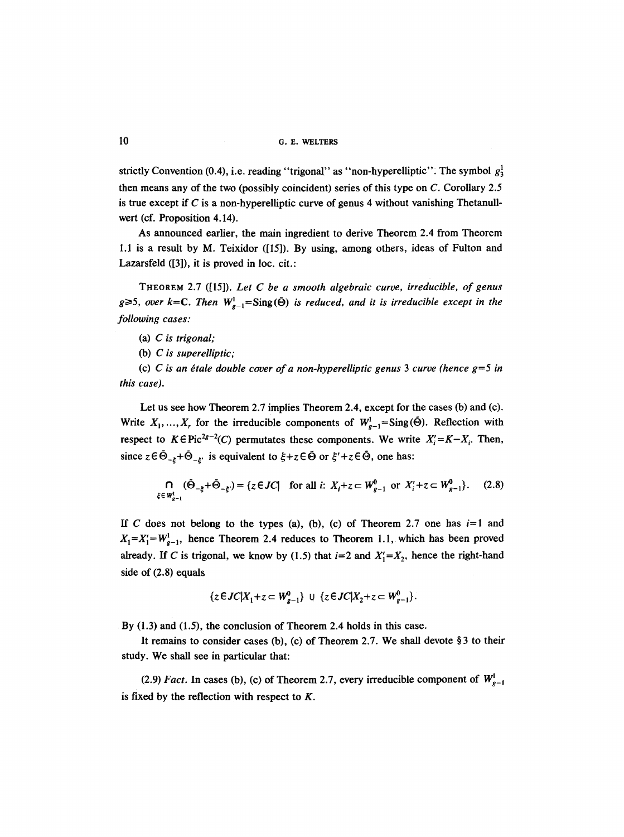10 G. E. WELTERS

strictly Convention (0.4), i.e. reading "trigonal" as "non-hyperelliptic". The symbol  $g_3^1$ then means any of the two (possibly coincident) series of this type on C. Corollary 2.5 is true except if C is a non-hyperelliptic curve of genus 4 without vanishing Thetanullwert (cf. Proposition 4.14).

As announced earlier, the main ingredient to derive Theorem 2.4 from Theorem 1.1 is a result by M. Teixidor ([15]). By using, among others, ideas of Fulton and Lazarsfeld ([3]), it is proved in loc. cit.:

THEOREM 2.7 ([15]). *Let C be a smooth algebraic curve, irreducible, of genus*   $g \ge 5$ , over  $k=C$ . Then  $W_{g-1}^1 = \text{Sing}(\tilde{\Theta})$  *is reduced, and it is irreducible except in the following cases:* 

(a) *C is trigonal;* 

(b) *C is superelliptic;* 

(c) *C* is an étale double cover of a non-hyperelliptic genus 3 curve (hence  $g=5$  in *this case).* 

Let us see how Theorem 2.7 implies Theorem 2.4, except for the cases (b) and (c). Write  $X_1, ..., X_r$  for the irreducible components of  $W_{g-1}^1 = \text{Sing}(\tilde{\Theta})$ . Reflection with respect to  $K \in \text{Pic}^{2g-2}(C)$  permutates these components. We write  $X_i' = K - X_i$ . Then, since  $z \in \tilde{\Theta}_{-z} + \tilde{\Theta}_{-z}$ , is equivalent to  $\xi + z \in \tilde{\Theta}$  or  $\xi' + z \in \tilde{\Theta}$ , one has:

$$
\bigcap_{\xi \in W_{g-1}^1} (\tilde{\Theta}_{-\xi} + \tilde{\Theta}_{-\xi'}) = \{ z \in JC | \text{ for all } i: X_i + z \subset W_{g-1}^0 \text{ or } X_i' + z \subset W_{g-1}^0 \}. \tag{2.8}
$$

If C does not belong to the types (a), (b), (c) of Theorem 2.7 one has  $i=1$  and  $X_1 = X_1' = W_{g-1}^1$ , hence Theorem 2.4 reduces to Theorem 1.1, which has been proved already. If C is trigonal, we know by (1.5) that  $i=2$  and  $X'_1=X_2$ , hence the right-hand side of (2.8) equals

$$
\{z \in JC | X_1 + z \subset W_{g-1}^0\} \ \cup \ \{z \in JC | X_2 + z \subset W_{g-1}^0\}.
$$

By (1.3) and (1.5), the conclusion of Theorem 2.4 holds in this case.

It remains to consider cases (b), (c) of Theorem 2.7. We shall devote  $\S 3$  to their study. We shall see in particular that:

(2.9) *Fact.* In cases (b), (c) of Theorem 2.7, every irreducible component of  $W_{e-1}^{\text{l}}$ is fixed by the reflection with respect to  $K$ .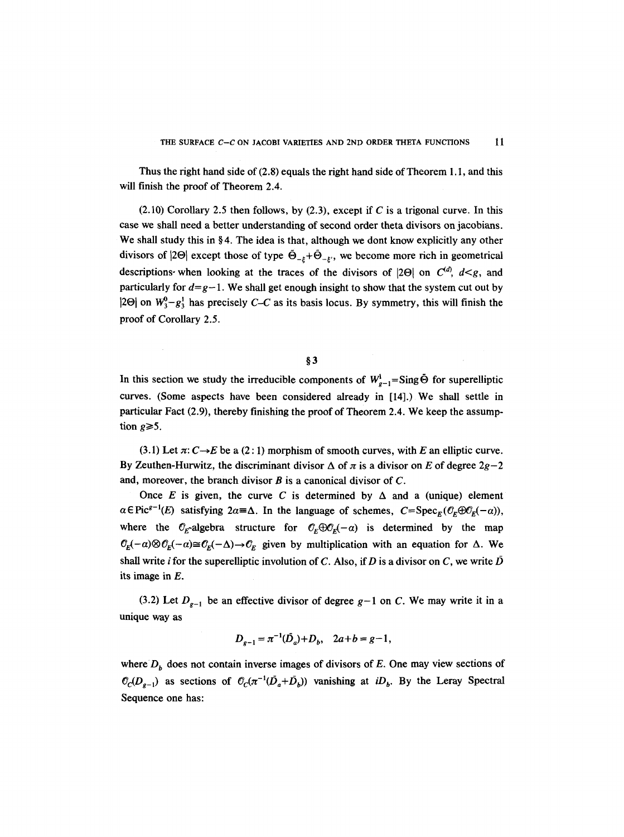Thus the right hand side of (2.8) equals the right hand side of Theorem 1.1, and this will finish the proof of Theorem 2.4.

 $(2.10)$  Corollary 2.5 then follows, by  $(2.3)$ , except if C is a trigonal curve. In this case we shall need a better understanding of second order theta divisors on jacobians. We shall study this in  $\S 4$ . The idea is that, although we dont know explicitly any other divisors of  $|2\Theta|$  except those of type  $\tilde{\Theta}_{-k}+\tilde{\Theta}_{-k}$ , we become more rich in geometrical descriptions when looking at the traces of the divisors of  $|2\Theta|$  on  $C^{(d)}$ ,  $d \leq g$ , and particularly for  $d=q-1$ . We shall get enough insight to show that the system cut out by  $|2\Theta|$  on  $W_3^0-g_3^1$  has precisely *C-C* as its basis locus. By symmetry, this will finish the proof of Corollary 2.5.

## $§$ 3

In this section we study the irreducible components of  $W_{g-1}^1 = \text{Sing}\,\bar{\Theta}$  for superelliptic curves. (Some aspects have been considered already in [14].) We shall settle in particular Fact (2.9), thereby finishing the proof of Theorem 2.4. We keep the assumption  $g \ge 5$ .

 $(3.1)$  Let  $\pi: C \rightarrow E$  be a  $(2:1)$  morphism of smooth curves, with E an elliptic curve. By Zeuthen-Hurwitz, the discriminant divisor  $\Delta$  of  $\pi$  is a divisor on E of degree  $2g-2$ and, moreover, the branch divisor  $B$  is a canonical divisor of  $C$ .

Once E is given, the curve C is determined by  $\Delta$  and a (unique) element  $\alpha \in \text{Pic}^{g-1}(E)$  satisfying  $2\alpha = \Delta$ . In the language of schemes,  $C = \text{Spec}_F(\mathcal{O}_F \oplus \mathcal{O}_F(-\alpha))$ , where the  $\mathcal{O}_E$ -algebra structure for  $\mathcal{O}_E \oplus \mathcal{O}_E(-\alpha)$  is determined by the map  $\mathcal{O}_E(-\alpha) \otimes \mathcal{O}_E(-\alpha) \cong \mathcal{O}_E(-\Delta) \to \mathcal{O}_E$  given by multiplication with an equation for  $\Delta$ . We shall write *i* for the superelliptic involution of C. Also, if D is a divisor on C, we write  $\bar{D}$ its image in E.

(3.2) Let  $D_{g-1}$  be an effective divisor of degree  $g-1$  on C. We may write it in a unique way as

$$
D_{g-1} = \pi^{-1}(\bar{D}_a) + D_b, \quad 2a + b = g - 1,
$$

where  $D<sub>b</sub>$  does not contain inverse images of divisors of E. One may view sections of  $\mathcal{O}_c(D_{g-1})$  as sections of  $\mathcal{O}_c(\pi^{-1}(D_a+D_b))$  vanishing at *iD<sub>b</sub>*. By the Leray Spectral Sequence one has: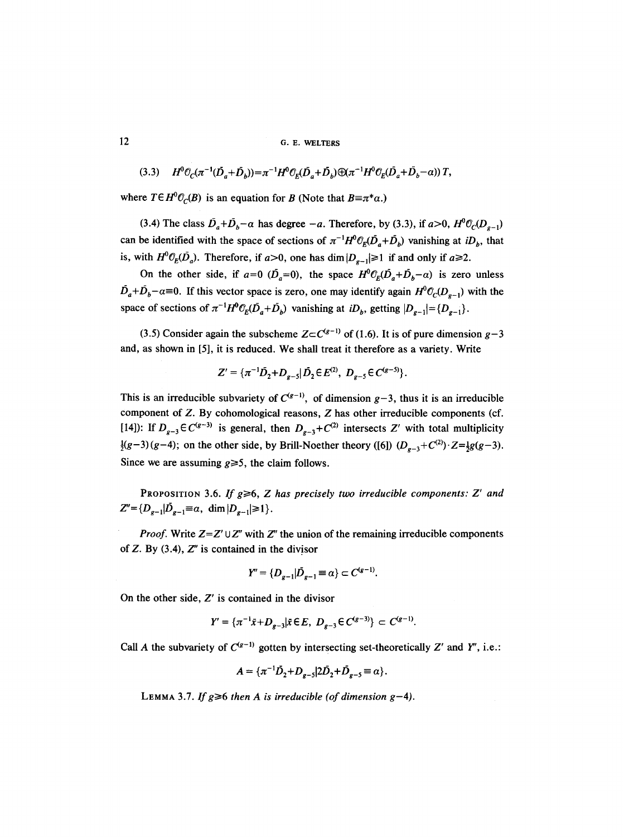12 G. E. WELTERS

$$
(3.3) \tH^0 \mathcal{O}_C(\pi^{-1}(\bar{D}_a + \bar{D}_b)) = \pi^{-1}H^0 \mathcal{O}_E(\bar{D}_a + \bar{D}_b) \bigoplus (\pi^{-1}H^0 \mathcal{O}_E(\bar{D}_a + \bar{D}_b - \alpha)) \,T,
$$

where  $T \in H^0(\mathcal{O}_C(B))$  is an equation for B (Note that  $B = \pi^* \alpha$ .)

(3.4) The class  $\bar{D}_a + \bar{D}_b - \alpha$  has degree  $-a$ . Therefore, by (3.3), if  $a > 0$ ,  $H^0 \mathcal{O}_C(D_{a-1})$ can be identified with the space of sections of  $\pi^{-1}H^0 \mathcal{O}_E(\bar{D}_a + \bar{D}_b)$  vanishing at *iD<sub>b</sub>*, that is, with  $H^0 \mathcal{O}_E(\overline{D}_a)$ . Therefore, if  $a > 0$ , one has  $\dim |D_{a-1}| \geq 1$  if and only if  $a \geq 2$ .

On the other side, if  $a=0$  ( $\overline{D}_a=0$ ), the space  $H^0C_F(\overline{D}_a+\overline{D}_b-\alpha)$  is zero unless  $\bar{D}_a + \bar{D}_b - \alpha \equiv 0$ . If this vector space is zero, one may identify again  $H^0 C_C (D_{g-1})$  with the space of sections of  $\pi^{-1}H^0\mathcal{O}_E(\bar{D}_a+\bar{D}_b)$  vanishing at  $iD_b$ , getting  $|D_{g-1}| = {D_{g-1}}$ .

(3.5) Consider again the subscheme  $Z \subset C^{(g-1)}$  of (1.6). It is of pure dimension  $g-3$ and, as shown in [5], it is reduced. We shall treat it therefore as a variety. Write

$$
Z' = \{ \pi^{-1} \bar{D}_2 + D_{g-5} | \bar{D}_2 \in E^{(2)}, \ D_{g-5} \in C^{(g-5)} \}.
$$

This is an irreducible subvariety of  $C^{(g-1)}$ , of dimension  $g-3$ , thus it is an irreducible component of Z. By cohomological reasons, Z has other irreducible components (cf. [14]): If  $D_{g-3} \in C^{(g-3)}$  is general, then  $D_{g-3} + C^{(2)}$  intersects Z' with total multiplicity  $\frac{1}{2}(g-3)(g-4)$ ; on the other side, by Brill-Noether theory ([6])  $(D_{g-3}+C^{(2)})\cdot Z=\frac{1}{2}g(g-3)$ . Since we are assuming  $g \ge 5$ , the claim follows.

PROPOSITION 3.6. If  $g \ge 6$ , *Z* has precisely two irreducible components: *Z'* and  $Z''=\{D_{g-1}|\bar{D}_{g-1}\equiv\alpha, \dim |D_{g-1}|\geq 1\}.$ 

*Proof.* Write  $Z = Z' \cup Z''$  with  $Z''$  the union of the remaining irreducible components of  $Z$ . By  $(3.4)$ ,  $Z''$  is contained in the divisor

$$
Y'' = \{D_{g-1} | \bar{D}_{g-1} \equiv \alpha\} \subset C^{(g-1)}.
$$

On the other side,  $Z'$  is contained in the divisor

$$
Y' = \{ \pi^{-1}\bar{x} + D_{g-3} | \bar{x} \in E, \ D_{g-3} \in C^{(g-3)} \} \subset C^{(g-1)}.
$$

Call A the subvariety of  $C^{(g-1)}$  gotten by intersecting set-theoretically Z' and Y'', i.e.:

$$
A = \{ \pi^{-1} \bar{D}_2 + D_{g-5} | 2\bar{D}_2 + \bar{D}_{g-5} \equiv \alpha \}.
$$

LEMMA 3.7. *If g* $\geq 6$  *then A is irreducible (of dimension g-4).*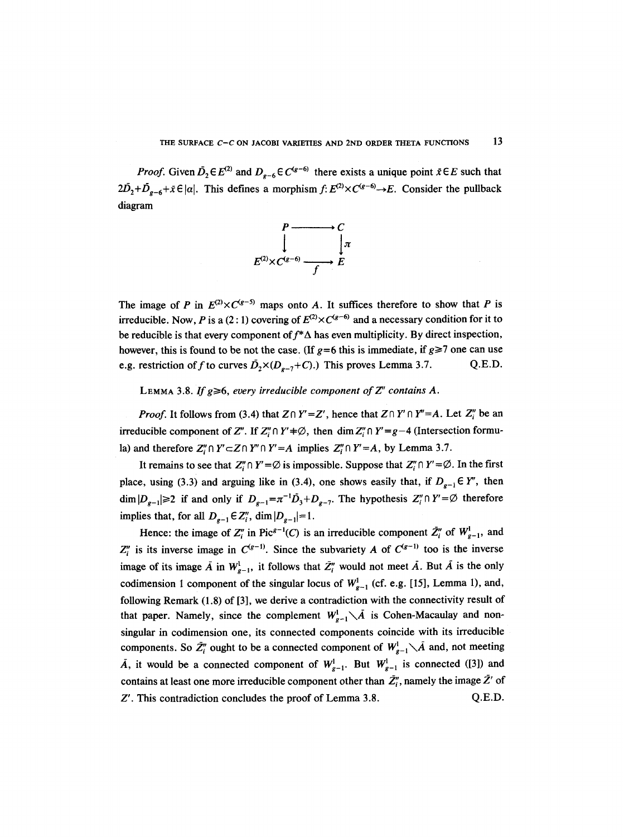*Proof.* Given  $\bar{D}_2 \in E^{(2)}$  and  $D_{g-6} \in C^{(g-6)}$  there exists a unique point  $\bar{x} \in E$  such that  $2D_2+D_{g-6}+\bar{x}\in |\alpha|$ . This defines a morphism  $f: E^{(2)}\times C^{(g-6)}\to E$ . Consider the pullback diagram



The image of P in  $E^{(2)} \times C^{(g-5)}$  maps onto A. It suffices therefore to show that P is irreducible. Now, P is a (2:1) covering of  $E^{(2)} \times C^{(g-6)}$  and a necessary condition for it to be reducible is that every component of  $f^*\Delta$  has even multiplicity. By direct inspection, however, this is found to be not the case. (If  $g=6$  this is immediate, if  $g\geq 7$  one can use e.g. restriction of f to curves  $\bar{D}_2 \times (D_{p-7}+C)$ .) This proves Lemma 3.7. Q.E.D.

LEMMA 3.8. *If g* $\geq 6$ , every irreducible component of  $Z''$  contains A.

*Proof.* It follows from (3.4) that  $Z \cap Y' = Z'$ , hence that  $Z \cap Y' \cap Y'' = A$ . Let  $Z''_i$  be an irreducible component of Z". If  $Z''_i \cap Y' \neq \emptyset$ , then dim  $Z''_i \cap Y' = g-4$  (Intersection formula) and therefore  $Z''_i \cap Y' \subset Z \cap Y'' \cap Y' = A$  implies  $Z''_i \cap Y' = A$ , by Lemma 3.7.

It remains to see that  $Z_i'' \cap Y' = \emptyset$  is impossible. Suppose that  $Z_i'' \cap Y' = \emptyset$ . In the first place, using (3.3) and arguing like in (3.4), one shows easily that, if  $D_{g-1} \in Y''$ , then  $\dim |D_{g-1}|\geq 2$  if and only if  $D_{g-1}=\pi^{-1}\overline{D}_3+D_{g-7}$ . The hypothesis  $Z''_i\cap Y'=\emptyset$  therefore implies that, for all  $D_{e-1} \in \mathbb{Z}_i''$ , dim  $|D_{e-1}|=1$ .

Hence: the image of  $Z_i^{\prime\prime}$  in Pic<sup> $g-1$ </sup>(C) is an irreducible component  $\bar{Z}_i^{\prime\prime}$  of  $W_{g-1}^1$ , and  $Z_i''$  is its inverse image in  $C^{(g-1)}$ . Since the subvariety A of  $C^{(g-1)}$  too is the inverse image of its image  $\bar{A}$  in  $W_{g-1}^l$ , it follows that  $\bar{Z}_i^{\prime\prime}$  would not meet  $\bar{A}$ . But  $\bar{A}$  is the only codimension 1 component of the singular locus of  $W_{g-1}^1$  (cf. e.g. [15], Lemma 1), and, following Remark (1.8) of [3], we derive a contradiction with the connectivity result of that paper. Namely, since the complement  $W^1_{g-1} \setminus \overline{A}$  is Cohen-Macaulay and nonsingular in codimension one, its connected components coincide with its irreducible components. So  $\bar{Z}_i''$  ought to be a connected component of  $W_{g-1}^1\setminus\bar{A}$  and, not meeting  $\overline{A}$ , it would be a connected component of  $W_{g-1}^1$ . But  $W_{g-1}^1$  is connected ([3]) and contains at least one more irreducible component other than  $\bar{Z}^{"}_{i}$ , namely the image  $\bar{Z}^{'}$  of Z'. This contradiction concludes the proof of Lemma 3.8. Q.E.D.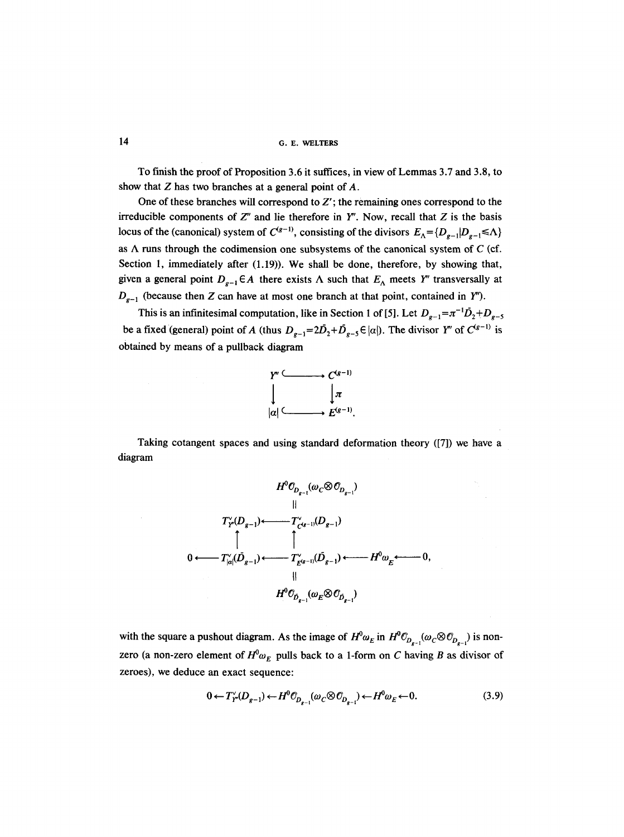**14 G.E. WELTERS** 

To finish the proof of Proposition 3.6 it suffices, in view of Lemmas 3.7 and 3.8, to show that  $Z$  has two branches at a general point of  $A$ .

One of these branches will correspond to  $Z'$ ; the remaining ones correspond to the irreducible components of  $Z''$  and lie therefore in  $Y''$ . Now, recall that  $Z$  is the basis locus of the (canonical) system of  $C^{(g-1)}$ , consisting of the divisors  $E_{\Lambda} = \{D_{g-1}|D_{g-1} \le \Lambda\}$ as  $\Lambda$  runs through the codimension one subsystems of the canonical system of C (cf. Section 1, immediately after (1.19)). We shall be done, therefore, by showing that, given a general point  $D_{g-1} \in A$  there exists  $\Lambda$  such that  $E_{\Lambda}$  meets Y'' transversally at  $D_{g-1}$  (because then Z can have at most one branch at that point, contained in Y'').

This is an infinitesimal computation, like in Section 1 of [5]. Let  $D_{p-1} = \pi^{-1} \bar{D}_2 + D_{p-5}$ be a fixed (general) point of A (thus  $D_{g-1}=2\overline{D}_2+\overline{D}_{g-5} \in |\alpha|$ ). The divisor Y" of  $C^{(g-1)}$  is obtained by means of a pullback diagram



Taking cotangent spaces and using standard deformation theory ([7]) we have a diagram



with the square a pushout diagram. As the image of  $H^0 \omega_E$  in  $H^0 \mathcal{O}_{D_{n-1}}(\omega_C \otimes \mathcal{O}_{D_{n-1}})$  is nonzero (a non-zero element of  $H^0\omega_E$  pulls back to a 1-form on C having B as divisor of zeroes), we deduce an exact sequence:

$$
0 \leftarrow T_{\mathcal{F}}^{\vee}(D_{g-1}) \leftarrow H^0 \mathcal{O}_{D_{g-1}}(\omega_{\mathcal{C}} \otimes \mathcal{O}_{D_{g-1}}) \leftarrow H^0 \omega_{\mathcal{E}} \leftarrow 0. \tag{3.9}
$$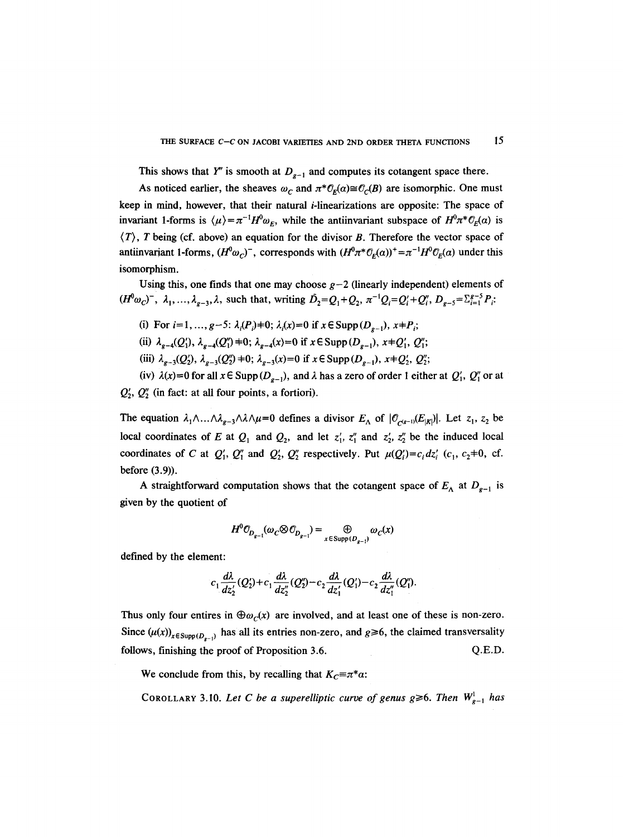This shows that Y'' is smooth at  $D_{g-1}$  and computes its cotangent space there.

As noticed earlier, the sheaves  $\omega_c$  and  $\pi^* \mathcal{O}_F(\alpha) \cong \mathcal{O}_C(B)$  are isomorphic. One must keep in mind, however, that their natural i-linearizations are opposite: The space of invariant 1-forms is  $\langle \mu \rangle = \pi^{-1}H^0 \omega_F$ , while the antiinvariant subspace of  $H^0 \pi^* \mathcal{O}_F(\alpha)$  is  $\langle T \rangle$ , T being (cf. above) an equation for the divisor B. Therefore the vector space of antiinvariant 1-forms,  $(H^{0}\omega_{C})^{-}$ , corresponds with  $(H^{0}\pi^{*}\mathcal{O}_{F}(\alpha))^{+} = \pi^{-1}H^{0}\mathcal{O}_{F}(\alpha)$  under this isomorphism.

Using this, one finds that one may choose  $g-2$  (linearly independent) elements of  $(H^{0}\omega_{C})^{-}$ ,  $\lambda_{1}, ..., \lambda_{p-3},\lambda$ , such that, writing  $\tilde{D}_{2}=Q_{1}+Q_{2}, \pi^{-1}Q_{i}=Q_{i}+Q_{i}', D_{p-5}= \sum_{i=1}^{g-5} P_{i}$ .

- (i) For  $i=1, ..., g-5$ :  $\lambda_i(P_i)=0$ ;  $\lambda_i(x)=0$  if  $x \in \text{Supp}(D_{g-1}), x+P_i$ ;
- (ii)  $\lambda_{g-4}(Q'_1)$ ,  $\lambda_{g-4}(Q''_1)$  +0;  $\lambda_{g-4}(x)=0$  if  $x \in \text{Supp}(D_{g-1}), x+Q'_1, Q''_1;$
- (iii)  $\lambda_{g-3}(Q_2'), \lambda_{g-3}(Q_2'')$  +0;  $\lambda_{g-3}(x)$  = 0 if  $x \in \text{Supp}(D_{g-1}), x+Q_2', Q_2''$ ;

(iv)  $\lambda(x)=0$  for all  $x \in \text{Supp}(D_{\rho-1})$ , and  $\lambda$  has a zero of order 1 either at  $Q'_1$ ,  $Q''_1$  or at  $Q'_{2}$ ,  $Q''_{2}$  (in fact: at all four points, a fortiori).

The equation  $\lambda_1 \wedge ... \wedge \lambda_{g-3} \wedge \lambda \wedge \mu = 0$  defines a divisor  $E_A$  of  $|O_{(g-1)}(E_{|K|})|$ . Let  $z_1, z_2$  be local coordinates of E at  $Q_1$  and  $Q_2$ , and let  $z'_1$ ,  $z''_1$  and  $z'_2$ ,  $z''_2$  be the induced local coordinates of C at  $Q'_1$ ,  $Q''_1$  and  $Q'_2$ ,  $Q''_2$  respectively. Put  $\mu(Q'_i)=c_i dz'_i$  (c<sub>1</sub>, c<sub>2</sub>+0, cf. before (3.9)).

A straightforward computation shows that the cotangent space of  $E_{\Lambda}$  at  $D_{g-1}$  is given by the quotient of

$$
H^{0} \mathcal{O}_{D_{g-1}}(\omega_{C} \otimes \mathcal{O}_{D_{g-1}}) = \bigoplus_{x \in \text{Supp}(D_{g-1})} \omega_{C}(x)
$$

defined by the element:

$$
c_1\frac{d\lambda}{dz_2'}(Q_2')+c_1\frac{d\lambda}{dz_2''}(Q_2'')-c_2\frac{d\lambda}{dz_1'}(Q_1')-c_2\frac{d\lambda}{dz_1''}(Q_1').
$$

Thus only four entires in  $\oplus \omega_c(x)$  are involved, and at least one of these is non-zero. Since  $(\mu(x))_{x \in \text{Supp}(D_{g-1})}$  has all its entries non-zero, and  $g \ge 6$ , the claimed transversality follows, finishing the proof of Proposition 3.6. Q.E.D.

We conclude from this, by recalling that  $K<sub>C</sub> \equiv \pi^* \alpha$ .

COROLLARY 3.10. Let C be a superelliptic curve of genus  $g \ge 6$ . Then  $W_{g-1}^1$  has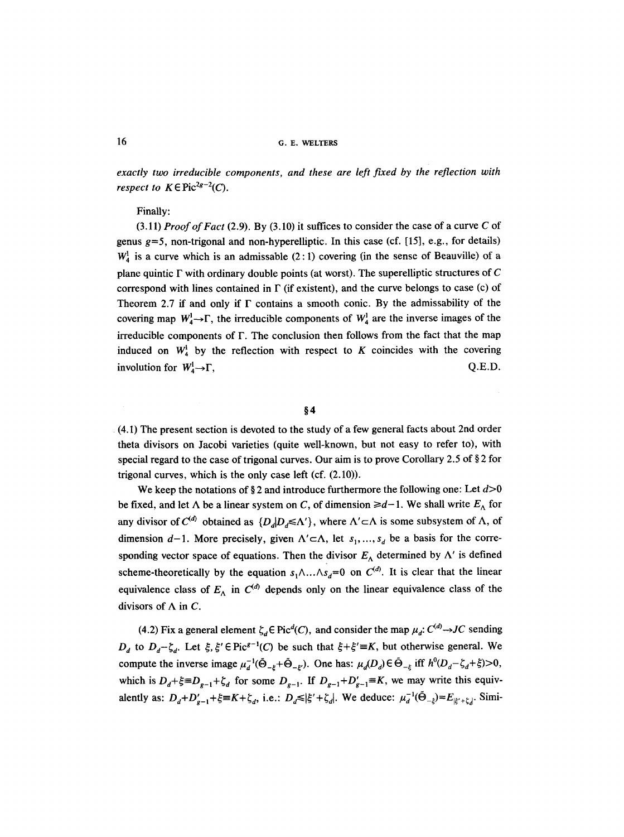*exactly two irreducible components, and these are left fixed by the reflection with respect to*  $K \in \text{Pic}^{2g-2}(C)$ .

# Finally:

(3.11) *Proof of Fact* (2.9). By (3.10) it suffices to consider the case of a curve C of genus  $g=5$ , non-trigonal and non-hyperelliptic. In this case (cf. [15], e.g., for details)  $W_4^1$  is a curve which is an admissable (2:1) covering (in the sense of Beauville) of a plane quintic  $\Gamma$  with ordinary double points (at worst). The superelliptic structures of C correspond with lines contained in  $\Gamma$  (if existent), and the curve belongs to case (c) of Theorem 2.7 if and only if  $\Gamma$  contains a smooth conic. By the admissability of the covering map  $W_4^1 \rightarrow \Gamma$ , the irreducible components of  $W_4^1$  are the inverse images of the irreducible components of F. The conclusion then follows from the fact that the map induced on  $W^1$  by the reflection with respect to K coincides with the covering involution for  $W^1_{\alpha} \rightarrow \Gamma$ ,  $Q.E.D.$ 

**w** 

9 (4.1) The present section is devoted to the study of a few general facts about 2nd order theta divisors on Jacobi varieties (quite well-known, but not easy to refer to), with special regard to the case of trigonal curves. Our aim is to prove Corollary 2.5 of  $\S 2$  for trigonal curves, which is the only case left (cf. (2.10)).

We keep the notations of §2 and introduce furthermore the following one: Let  $d>0$ be fixed, and let  $\Lambda$  be a linear system on C, of dimension  $\geq d-1$ . We shall write  $E_{\Lambda}$  for any divisor of  $C^{(d)}$  obtained as  $\{D_d | D_d \le \Lambda'\}$ , where  $\Lambda' \subset \Lambda$  is some subsystem of  $\Lambda$ , of dimension  $d-1$ . More precisely, given  $\Lambda' \subset \Lambda$ , let  $s_1, ..., s_d$  be a basis for the corresponding vector space of equations. Then the divisor  $E_{\Lambda}$  determined by  $\Lambda'$  is defined scheme-theoretically by the equation  $s_1 \wedge ... \wedge s_d = 0$  on  $C^{(d)}$ . It is clear that the linear equivalence class of  $E_A$  in  $C^{(d)}$  depends only on the linear equivalence class of the divisors of  $\Lambda$  in C.

(4.2) Fix a general element  $\zeta_d \in Pic^d(C)$ , and consider the map  $\mu_d$ :  $C^{(d)} \rightarrow JC$  sending *D<sub>d</sub>* to  $D_d - \zeta_d$ . Let  $\xi, \xi' \in Pic^{g-1}(C)$  be such that  $\xi + \xi' \equiv K$ , but otherwise general. We compute the inverse image  $\mu_d^{-1}(\tilde{\Theta}_{-k} + \tilde{\Theta}_{-k})$ . One has:  $\mu_d(D_d) \in \tilde{\Theta}_{-k}$  iff  $h^0(D_d - \zeta_d + \zeta) > 0$ , which is  $D_d+\xi=D_{g-1}+\zeta_d$  for some  $D_{g-1}$ . If  $D_{g-1}+D'_{g-1}=K$ , we may write this equivalently as:  $D_d + D'_{g-1} + \xi = K + \zeta_d$ , i.e.:  $D_d \leq |\xi' + \zeta_d|$ . We deduce:  $\mu_d^{-1}(\tilde{\Theta}_{-\xi}) = E_{|\xi' + \zeta_d|}$ . Simi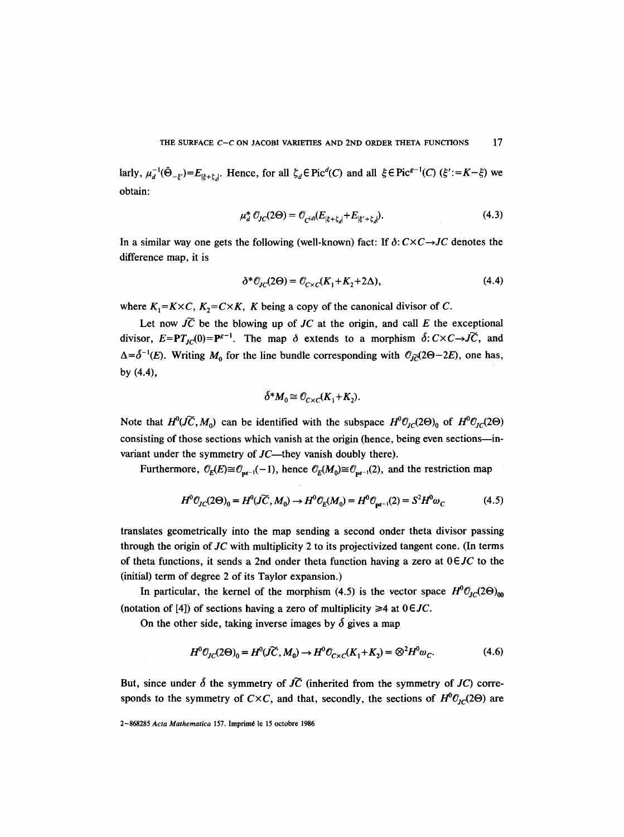larly,  $\mu_d^{-1}(\tilde{\Theta}_{-\xi})=E_{|\xi+\xi_d|}$ . Hence, for all  $\zeta_d \in \text{Pic}^d(C)$  and all  $\xi \in \text{Pic}^{g-1}(C)$  ( $\xi' := K-\xi$ ) we obtain:

$$
\mu_d^* \mathcal{O}_{JC}(2\Theta) = \mathcal{O}_{C^{(d)}}(E_{|\xi + \zeta_d|} + E_{|\xi' + \zeta_d|}). \tag{4.3}
$$

In a similar way one gets the following (well-known) fact: If  $\delta: C \times C \rightarrow JC$  denotes the difference map, it is

$$
\delta^* \mathcal{O}_{JC}(2\Theta) = \mathcal{O}_{C \times C}(K_1 + K_2 + 2\Delta),\tag{4.4}
$$

where  $K_1 = K \times C$ ,  $K_2 = C \times K$ , K being a copy of the canonical divisor of C.

Let now  $\widetilde{JC}$  be the blowing up of  $JC$  at the origin, and call  $E$  the exceptional divisor,  $E=PT_{JC}(0)=P^{g-1}$ . The map  $\delta$  extends to a morphism  $\delta: C\times C\rightarrow \widetilde{JC}$ , and  $\Delta = \delta^{-1}(E)$ . Writing  $M_0$  for the line bundle corresponding with  $\mathcal{O}_{\tilde{IC}}(2\Theta - 2E)$ , one has, by (4.4),

$$
\delta^* M_0 \cong \mathcal{O}_{C \times C}(K_1 + K_2).
$$

Note that  $H^0(\widetilde{IC}, M_0)$  can be identified with the subspace  $H^0(\mathcal{O}_{IC}(2\Theta))_0$  of  $H^0(\mathcal{O}_{IC}(2\Theta))$ consisting of those sections which vanish at the origin (hence, being even sections---invariant under the symmetry of  $JC$ —they vanish doubly there).

Furthermore,  $\mathcal{O}_E(E) \cong \mathcal{O}_{ps-1}(-1)$ , hence  $\mathcal{O}_E(M_0) \cong \mathcal{O}_{ps-1}(2)$ , and the restriction map

$$
H^0 \mathcal{O}_{JC}(2\Theta)_0 = H^0(\widetilde{JC}, M_0) \to H^0 \mathcal{O}_E(M_0) = H^0 \mathcal{O}_{\mathbf{p}^{g-1}}(2) = S^2 H^0 \omega_C \tag{4.5}
$$

translates geometrically into the map sending a second onder theta divisor passing through the origin of *JC* with multiplicity 2 to its projectivized tangent cone. (In terms of theta functions, it sends a 2nd onder theta function having a zero at *OEJC* to the (initial) term of degree 2 of its Taylor expansion.)

In particular, the kernel of the morphism (4.5) is the vector space  $H^0\mathcal{O}_{H}(\mathbf{2}\Theta)_{00}$ (notation of [4]) of sections having a zero of multiplicity  $\geq 4$  at  $0 \in JC$ .

On the other side, taking inverse images by  $\delta$  gives a map

$$
H^0\mathcal{O}_{JC}(2\Theta)_0 = H^0(\widetilde{JC}, M_0) \to H^0\mathcal{O}_{C \times C}(K_1 + K_2) = \otimes^2 H^0\omega_C.
$$
 (4.6)

But, since under  $\delta$  the symmetry of  $\overrightarrow{JC}$  (inherited from the symmetry of  $\overrightarrow{JC}$ ) corresponds to the symmetry of *C*×*C*, and that, secondly, the sections of  $H^0O_{IC}(2\Theta)$  are

<sup>2-868285</sup> Acta Mathematica 157. Imprimé le 15 octobre 1986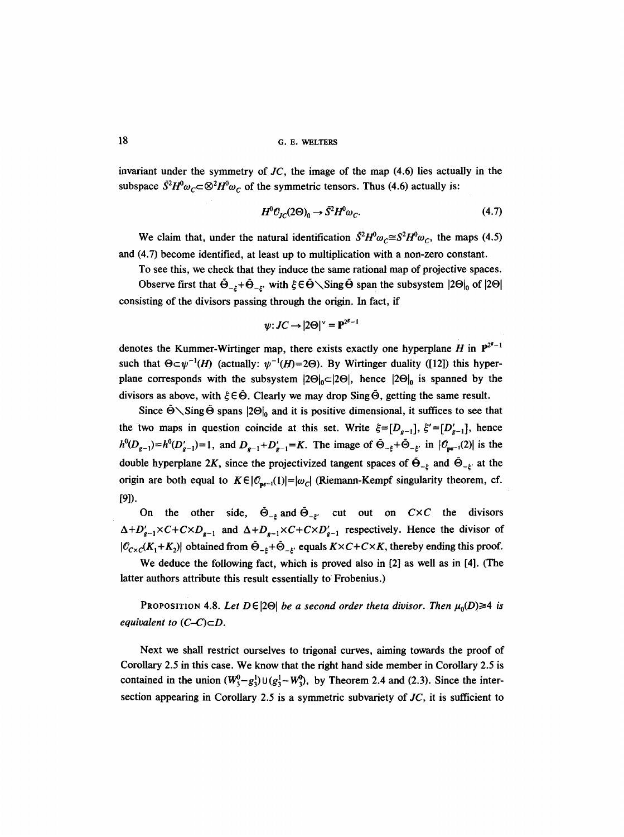18 G. E. WELTERS

invariant under the symmetry of *JC,* the image of the map (4.6) lies actually in the subspace  $\bar{S}^2H^0\omega_C \subset \mathcal{D}^2H^0\omega_C$  of the symmetric tensors. Thus (4.6) actually is:

$$
H^0 \mathcal{O}_{JC}(2\Theta)_0 \to \bar{S}^2 H^0 \omega_C. \tag{4.7}
$$

We claim that, under the natural identification  $\bar{S}^2 H^0 \omega_c \cong S^2 H^0 \omega_c$ , the maps (4.5) and (4.7) become identified, at least up to multiplication with a non-zero constant.

To see this, we check that they induce the same rational map of projective spaces.

Observe first that  $\tilde{\Theta}_{-k} + \tilde{\Theta}_{-k}$  with  $\xi \in \tilde{\Theta} \setminus$  Sing  $\tilde{\Theta}$  span the subsystem  $|2\Theta|_0$  of  $|2\Theta|$ consisting of the divisors passing through the origin. In fact, if

$$
\psi\colon JC\to |2\Theta|^{\vee}={\textbf P}^{2^g-1}
$$

denotes the Kummer-Wirtinger map, there exists exactly one hyperplane H in  $P^{2^{e}-1}$ such that  $\Theta \subset \psi^{-1}(H)$  (actually:  $\psi^{-1}(H)=2\Theta$ ). By Wirtinger duality ([12]) this hyperplane corresponds with the subsystem  $|2\Theta|_0 \subset |2\Theta|$ , hence  $|2\Theta|_0$  is spanned by the divisors as above, with  $\xi \in \tilde{\Theta}$ . Clearly we may drop Sing  $\tilde{\Theta}$ , getting the same result.

Since  $\dot{\Theta} \setminus$ Sing  $\dot{\Theta}$  spans  $|2\Theta|_0$  and it is positive dimensional, it suffices to see that the two maps in question coincide at this set. Write  $\xi = [D_{g-1}], ~\xi' = [D'_{g-1}],$  hence  $h^0(D_{g-1})=h^0(D'_{g-1})=1$ , and  $D_{g-1}+D'_{g-1}=K$ . The image of  $\tilde{\Theta}_{-\xi}+\tilde{\Theta}_{-\xi'}$  in  $|\mathcal{O}_{pe^{-1}}(2)|$  is the double hyperplane 2K, since the projectivized tangent spaces of  $\tilde{\Theta}_{-\xi}$  and  $\tilde{\Theta}_{-\xi'}$  at the origin are both equal to  $K \in |C_{\mathbf{pr}-1}(1)|=|\omega_C|$  (Riemann-Kempf singularity theorem, cf. [9]).

On the other side,  $\tilde{\Theta}_{-\varepsilon}$  and  $\tilde{\Theta}_{-\varepsilon}$  cut out on  $C \times C$  the divisors  $\Delta + D'_{g-1} \times C + C \times D_{g-1}$  and  $\Delta + D_{g-1} \times C + C \times D'_{g-1}$  respectively. Hence the divisor of  $|C_{C\times C}(K_1+K_2)|$  obtained from  $\tilde{\Theta}_{-k}+\tilde{\Theta}_{-k'}$  equals  $K\times C+C\times K$ , thereby ending this proof.

We deduce the following fact, which is proved also in [2] as well as in [4]. (The latter authors attribute this result essentially to Frobenius.)

PROPOSITION 4.8. Let  $D \in |2\Theta|$  *be a second order theta divisor. Then*  $\mu_0(D) \geq 4$  *is equivalent to*  $(C-C) \subset D$ *.* 

Next we shall restrict ourselves to trigonal curves, aiming towards the proof of Corollary 2.5 in this case. We know that the right hand side member in Corollary 2.5 is contained in the union  $(W_3^0 - g_3^1) \cup (g_3^1 - W_3^0)$ , by Theorem 2.4 and (2.3). Since the intersection appearing in Corollary 2.5 is a symmetric subvariety of *JC,* it is sufficient to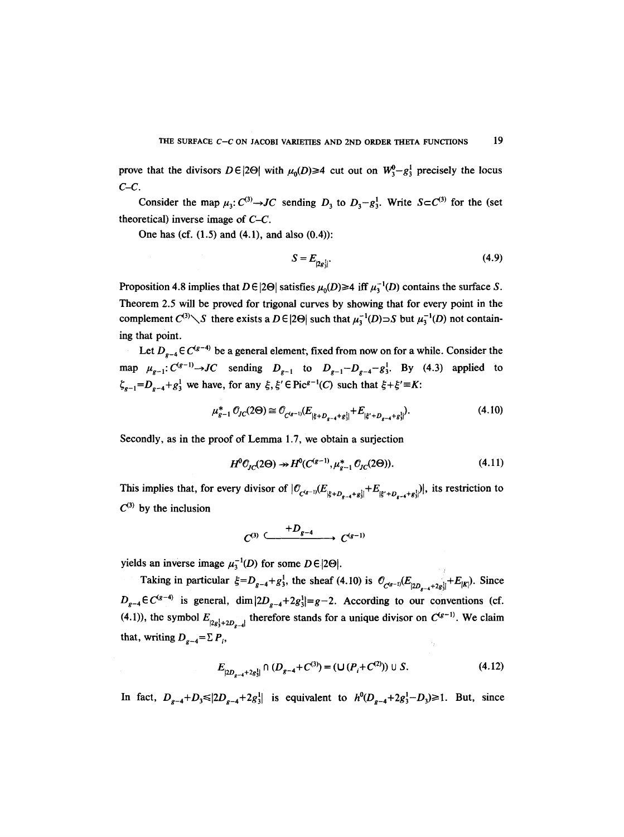prove that the divisors  $D \in |2\Theta|$  with  $\mu_0(D) \ge 4$  cut out on  $W_3^0 - g_3^1$  precisely the locus *C-C.* 

Consider the map  $\mu_3$ :  $C^{(3)} \rightarrow JC$  sending  $D_3$  to  $D_3 - g_3^1$ . Write  $S \subset C^{(3)}$  for the (set theoretical) inverse image of *C-C.* 

One has (cf.  $(1.5)$  and  $(4.1)$ , and also  $(0.4)$ ):

$$
S = E_{|2e_2^1|}.\tag{4.9}
$$

Proposition 4.8 implies that  $D \in |2\Theta|$  satisfies  $\mu_0(D) \ge 4$  iff  $\mu_1^{-1}(D)$  contains the surface S. Theorem 2.5 will be proved for trigonal curves by showing that for every point in the complement  $C^{(3)}\diagdown S$  there exists a  $D \in |2\Theta|$  such that  $\mu_3^{-1}(D) \supset S$  but  $\mu_3^{-1}(D)$  not containing that point.

Let  $D_{g-4} \in C^{(g-4)}$  be a general element, fixed from now on for a while. Consider the map  $\mu_{g-1}: C^{(g-1)} \to JC$  sending  $D_{g-1}$  to  $D_{g-1}-D_{g-4}-g_3^1$ . By (4.3) applied to  $\zeta_{g-1} = D_{g-4} + g_3^1$  we have, for any  $\xi, \xi' \in Pic^{g-1}(C)$  such that  $\xi + \xi' = K$ :

$$
\mu_{g-1}^* \mathcal{O}_{JC}(2\Theta) \cong \mathcal{O}_{C^{(g-1)}}(E_{|\xi+D_{g-4}+g_{\xi}|} + E_{|\xi'+D_{g-4}+g_{\xi}|}). \tag{4.10}
$$

Secondly, as in the proof of Lemma 1.7, we obtain a surjection

$$
H^0\mathcal{O}_{JC}(2\Theta) \twoheadrightarrow H^0(C^{(g-1)}, \mu_{g-1}^* \mathcal{O}_{JC}(2\Theta)).\tag{4.11}
$$

This implies that, for every divisor of  $\left|\mathcal{O}_{C^{(g-1)}}(E_{|\xi+D_{g-4}+g_3^1|}+E_{|\xi'+D_{g-4}+g_3^1|})\right|$ , its restriction to  $C^{(3)}$  by the inclusion

$$
C^{(3)} \xrightarrow{+D_{g-4}} C^{(g-1)}
$$

yields an inverse image  $\mu_3^{-1}(D)$  for some  $D \in |2\Theta|$ .

Taking in particular  $\xi=D_{g-4}+g_3^1$ , the sheaf (4.10) is  $\mathcal{O}_{C^{(g-1)}}(E_{|2D_{g-4}+2g_3^1|}+E_{|K|})$ . Since  $D_{g-4} \in C^{(g-4)}$  is general, dim  $|2D_{g-4}+2g_3^1|=g-2$ . According to our conventions (cf. (4.1)), the symbol  $E_{|2g_3^1+2D_{g-4}|}$  therefore stands for a unique divisor on  $C^{(g-1)}$ . We claim that, writing  $D_{g-4} = \sum P_i$ ,

$$
E_{|2D_{g-4}+2g_3^1|} \cap (D_{g-4}+C^{(3)}) = (\bigcup (P_i+C^{(2)}) \cup S. \tag{4.12}
$$

In fact,  $D_{g-4}+D_3 \leq |2D_{g-4}+2g_3^1|$  is equivalent to  $h^0(D_{g-4}+2g_3^1-D_3) \geq 1$ . But, since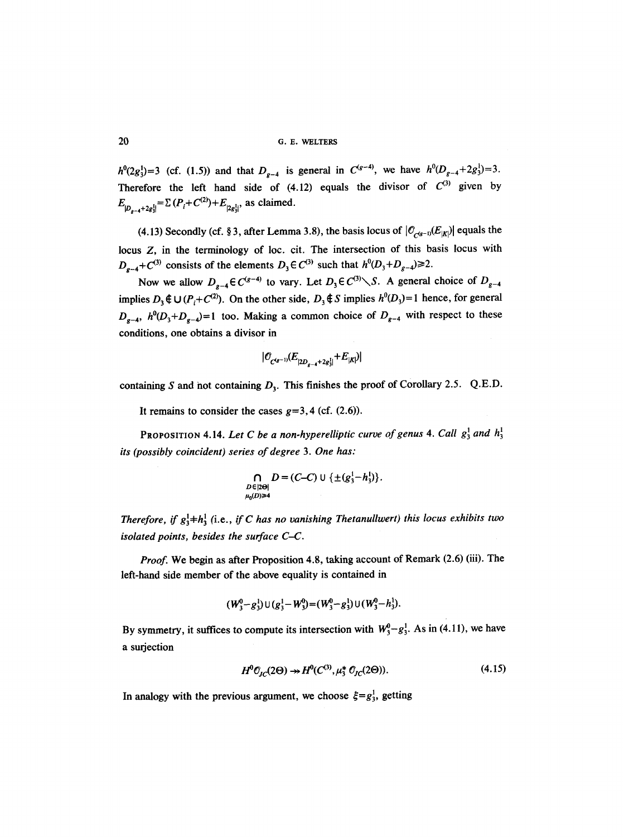20 G.E. WELTERS

 $h^0(2g_3^1) = 3$  (cf. (1.5)) and that  $D_{g-4}$  is general in  $C^{(g-4)}$ , we have  $h^0(D_{g-4} + 2g_3^1) = 3$ . Therefore the left hand side of  $(4.12)$  equals the divisor of  $C^{(3)}$  given by  $E_{|D_{g-4}+2g_3^1|} = \sum (P_i + C^{(2)}) + E_{|2g_3^1|}$ , as claimed.

(4.13) Secondly (cf. § 3, after Lemma 3.8), the basis locus of  $|O_{C^{(g-1)}}(E_{|K|})|$  equals the locus Z, in the terminology of loc. cit. The intersection of this basis locus with  $D_{g-4}+C^{(3)}$  consists of the elements  $D_3 \in C^{(3)}$  such that  $h^0(D_3+D_{g-4}) \ge 2$ .

Now we allow  $D_{g-4} \in C^{(g-4)}$  to vary. Let  $D_3 \in C^{(3)} \setminus S$ . A general choice of  $D_{g-4}$ implies  $D_3 \notin U(P_i + C^{(2)})$ . On the other side,  $D_3 \notin S$  implies  $h^0(D_3) = 1$  hence, for general  $D_{g-4}$ ,  $h^0(D_3+D_{g-4})=1$  too. Making a common choice of  $D_{g-4}$  with respect to these conditions, one obtains a divisor in

$$
|\mathcal{O}_{C^{(g-1)}}(E_{|2D_{g-4}+2g_3^1|}+E_{|K|})|
$$

containing S and not containing  $D_3$ . This finishes the proof of Corollary 2.5. Q.E.D.

It remains to consider the cases  $g=3,4$  (cf.  $(2.6)$ ).

PROPOSITION 4.14. Let C be a non-hyperelliptic curve of genus 4. Call  $g_3^1$  and  $h_3^1$ *its (possibly coincident) series of degree 3. One has:* 

$$
\bigcap_{\substack{D \in |2\Theta| \\ \mu_0(D) \geq 4}} D = (C-C) \cup \{\pm (g_3^1-h_3^1)\}.
$$

*Therefore, if*  $g_3^1$ + $h_3^1$  (i.e., *if C has no vanishing Thetanullwert) this locus exhibits two isolated points, besides the surface C-C.* 

*Proof.* We begin as after Proposition 4.8, taking account of Remark (2.6) (iii). The left-hand side member of the above equality is contained in

$$
(W_3^0 - g_3^1) \cup (g_3^1 - W_3^0) = (W_3^0 - g_3^1) \cup (W_3^0 - h_3^1).
$$

By symmetry, it suffices to compute its intersection with  $W_3^0 - g_3^1$ . As in (4.11), we have a surjection

$$
H^{0} \mathcal{O}_{\mathcal{I}C}(2\Theta) \twoheadrightarrow H^{0}(C^{(3)}, \mu_{3}^{*} \mathcal{O}_{\mathcal{I}C}(2\Theta)). \tag{4.15}
$$

In analogy with the previous argument, we choose  $\xi = g_3^1$ , getting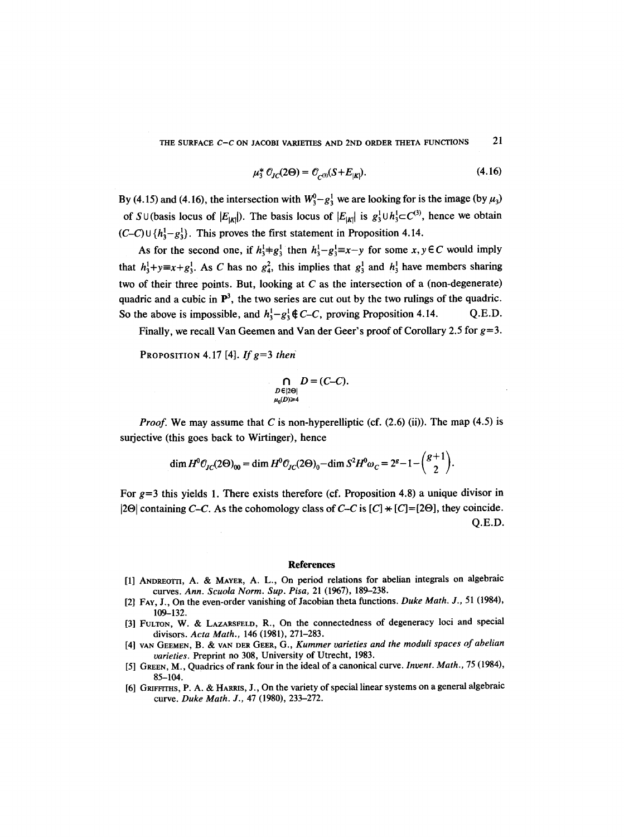THE SURFACE *C*-*C* ON JACOBI VARIETIES AND 2ND ORDER THETA FUNCTIONS 21

$$
\mu_3^* \mathcal{O}_{JC}(2\Theta) = \mathcal{O}_{C^{(3)}}(S + E_{|K|}). \tag{4.16}
$$

By (4.15) and (4.16), the intersection with  $W_3^0 - g_3^1$  we are looking for is the image (by  $\mu_3$ ) of S  $\cup$  (basis locus of  $|E_{|K|}$ ). The basis locus of  $|E_{|K|}$  is  $g_3^1 \cup h_3^1 \subset C^{(3)}$ , hence we obtain  $(C-C) \cup \{h_3^1-g_3^1\}$ . This proves the first statement in Proposition 4.14.

As for the second one, if  $h_3^1 + g_3^1$  then  $h_3^1 - g_3^1 \equiv x - y$  for some  $x, y \in C$  would imply that  $h_1^1 + y \equiv x + g_1^1$ . As C has no  $g_4^2$ , this implies that  $g_3^1$  and  $h_3^1$  have members sharing two of their three points. But, looking at  $C$  as the intersection of a (non-degenerate) quadric and a cubic in  $\mathbb{P}^3$ , the two series are cut out by the two rulings of the quadric. So the above is impossible, and  $h_3^1 - g_3^1 \notin C-C$ , proving Proposition 4.14. Q.E.D.

Finally, we recall Van Geemen and Van der Geer's proof of Corollary 2.5 for  $g=3$ .

PROPOSITION 4.17 [4]. If  $g=3$  then

$$
\bigcap_{\substack{D \in |2\Theta| \\ \mu_0(D) \geq 4}} D = (C - C).
$$

*Proof.* We may assume that C is non-hyperelliptic (cf.  $(2.6)$  (ii)). The map  $(4.5)$  is surjective (this goes back to Wirtinger), hence

$$
\dim H^0 \mathcal{O}_{JC}(2\Theta)_{00} = \dim H^0 \mathcal{O}_{JC}(2\Theta)_0 - \dim S^2 H^0 \omega_C = 2^g - 1 - \binom{g+1}{2}.
$$

For  $g=3$  this yields 1. There exists therefore (cf. Proposition 4.8) a unique divisor in  $|2\Theta|$  containing *C-C*. As the cohomology class of *C-C* is  $[C] \times [C] = [2\Theta]$ , they coincide. Q.E.D.

#### **References**

- [1] ANDREOTrI, A. & MAYER, A. L., On period relations for abelian integrals on algebraic curves. *Ann. Scuola Norm. Sup. Pisa,* 21 (1967), 189-238.
- [2] FAY, J., On the even-order vanishing of Jacobian theta functions. *Duke Math. J.,* 51 (1984), 109-132.
- [3] FULTON, W. & LAZARSFELD, R., On the connectedness of degeneracy loci and special divisors. *Acta Math.,* 146 (1981), 271-283.
- [4] VAN GEEMEN, B. & VAN DER GEER, G., *Kummer varieties and the moduli spaces of abelian varieties.* Preprint no 308, University of Utrecht, 1983.
- [5] GREEN, M., Quadrics of rank four in the ideal of a canonical curve. *Invent. Math.,* 75 (1984), 85-104.
- [6] GRIFFITHS, P. A. & HARRIS, J., On the variety of special linear systems on a general algebraic curve. *Duke Math. J.,* 47 (1980), 233-272.